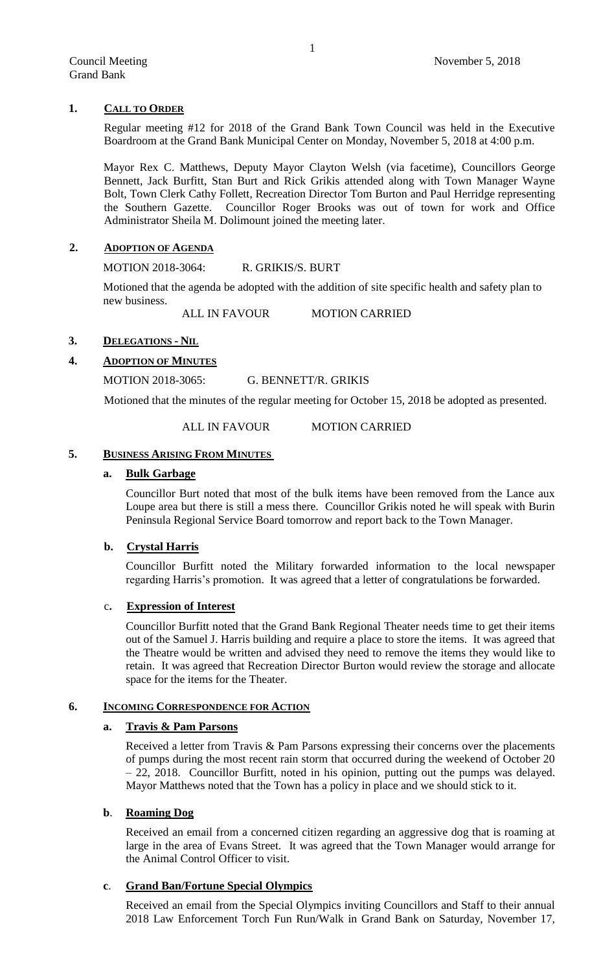# **1. CALL TO ORDER**

Regular meeting #12 for 2018 of the Grand Bank Town Council was held in the Executive Boardroom at the Grand Bank Municipal Center on Monday, November 5, 2018 at 4:00 p.m.

Mayor Rex C. Matthews, Deputy Mayor Clayton Welsh (via facetime), Councillors George Bennett, Jack Burfitt, Stan Burt and Rick Grikis attended along with Town Manager Wayne Bolt, Town Clerk Cathy Follett, Recreation Director Tom Burton and Paul Herridge representing the Southern Gazette. Councillor Roger Brooks was out of town for work and Office Administrator Sheila M. Dolimount joined the meeting later.

## **2. ADOPTION OF AGENDA**

MOTION 2018-3064: R. GRIKIS/S. BURT

Motioned that the agenda be adopted with the addition of site specific health and safety plan to new business.

ALL IN FAVOUR MOTION CARRIED

# **3. DELEGATIONS - NIL**

# **4. ADOPTION OF MINUTES**

## MOTION 2018-3065: G. BENNETT/R. GRIKIS

Motioned that the minutes of the regular meeting for October 15, 2018 be adopted as presented.

## ALL IN FAVOUR MOTION CARRIED

### **5. BUSINESS ARISING FROM MINUTES**

# **a. Bulk Garbage**

Councillor Burt noted that most of the bulk items have been removed from the Lance aux Loupe area but there is still a mess there. Councillor Grikis noted he will speak with Burin Peninsula Regional Service Board tomorrow and report back to the Town Manager.

### **b. Crystal Harris**

Councillor Burfitt noted the Military forwarded information to the local newspaper regarding Harris's promotion. It was agreed that a letter of congratulations be forwarded.

## c**. Expression of Interest**

Councillor Burfitt noted that the Grand Bank Regional Theater needs time to get their items out of the Samuel J. Harris building and require a place to store the items. It was agreed that the Theatre would be written and advised they need to remove the items they would like to retain. It was agreed that Recreation Director Burton would review the storage and allocate space for the items for the Theater.

### **6. INCOMING CORRESPONDENCE FOR ACTION**

### **a. Travis & Pam Parsons**

Received a letter from Travis & Pam Parsons expressing their concerns over the placements of pumps during the most recent rain storm that occurred during the weekend of October 20 – 22, 2018. Councillor Burfitt, noted in his opinion, putting out the pumps was delayed. Mayor Matthews noted that the Town has a policy in place and we should stick to it.

# **b**. **Roaming Dog**

Received an email from a concerned citizen regarding an aggressive dog that is roaming at large in the area of Evans Street. It was agreed that the Town Manager would arrange for the Animal Control Officer to visit.

# **c**. **Grand Ban/Fortune Special Olympics**

Received an email from the Special Olympics inviting Councillors and Staff to their annual 2018 Law Enforcement Torch Fun Run/Walk in Grand Bank on Saturday, November 17,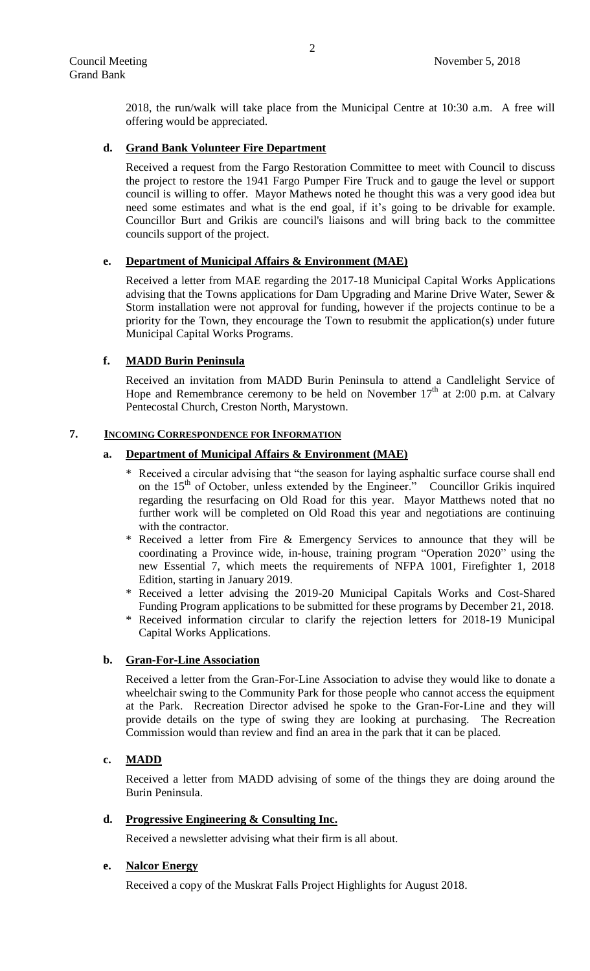2018, the run/walk will take place from the Municipal Centre at 10:30 a.m. A free will offering would be appreciated.

## **d. Grand Bank Volunteer Fire Department**

Received a request from the Fargo Restoration Committee to meet with Council to discuss the project to restore the 1941 Fargo Pumper Fire Truck and to gauge the level or support council is willing to offer. Mayor Mathews noted he thought this was a very good idea but need some estimates and what is the end goal, if it's going to be drivable for example. Councillor Burt and Grikis are council's liaisons and will bring back to the committee councils support of the project.

## **e. Department of Municipal Affairs & Environment (MAE)**

Received a letter from MAE regarding the 2017-18 Municipal Capital Works Applications advising that the Towns applications for Dam Upgrading and Marine Drive Water, Sewer & Storm installation were not approval for funding, however if the projects continue to be a priority for the Town, they encourage the Town to resubmit the application(s) under future Municipal Capital Works Programs.

## **f. MADD Burin Peninsula**

Received an invitation from MADD Burin Peninsula to attend a Candlelight Service of Hope and Remembrance ceremony to be held on November  $17<sup>th</sup>$  at 2:00 p.m. at Calvary Pentecostal Church, Creston North, Marystown.

## **7. INCOMING CORRESPONDENCE FOR INFORMATION**

## **a. Department of Municipal Affairs & Environment (MAE)**

- Received a circular advising that "the season for laying asphaltic surface course shall end on the 15<sup>th</sup> of October, unless extended by the Engineer." Councillor Grikis inquired regarding the resurfacing on Old Road for this year. Mayor Matthews noted that no further work will be completed on Old Road this year and negotiations are continuing with the contractor.
- \* Received a letter from Fire & Emergency Services to announce that they will be coordinating a Province wide, in-house, training program "Operation 2020" using the new Essential 7, which meets the requirements of NFPA 1001, Firefighter 1, 2018 Edition, starting in January 2019.
- \* Received a letter advising the 2019-20 Municipal Capitals Works and Cost-Shared Funding Program applications to be submitted for these programs by December 21, 2018.
- Received information circular to clarify the rejection letters for 2018-19 Municipal Capital Works Applications.

# **b. Gran-For-Line Association**

Received a letter from the Gran-For-Line Association to advise they would like to donate a wheelchair swing to the Community Park for those people who cannot access the equipment at the Park. Recreation Director advised he spoke to the Gran-For-Line and they will provide details on the type of swing they are looking at purchasing. The Recreation Commission would than review and find an area in the park that it can be placed.

### **c. MADD**

Received a letter from MADD advising of some of the things they are doing around the Burin Peninsula.

### **d. Progressive Engineering & Consulting Inc.**

Received a newsletter advising what their firm is all about.

### **e. Nalcor Energy**

Received a copy of the Muskrat Falls Project Highlights for August 2018.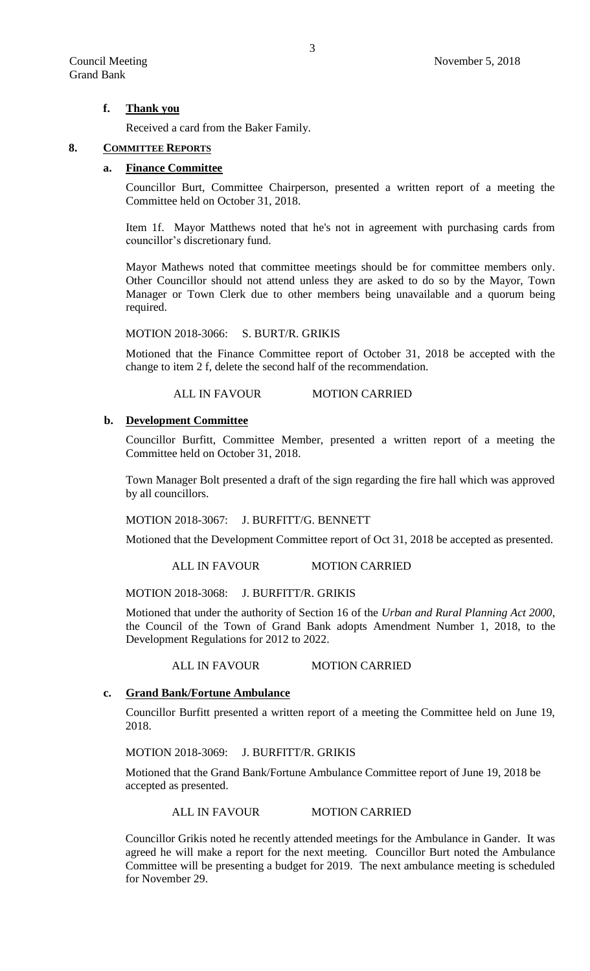## **f. Thank you**

Received a card from the Baker Family.

### **8. COMMITTEE REPORTS**

### **a. Finance Committee**

Councillor Burt, Committee Chairperson, presented a written report of a meeting the Committee held on October 31, 2018.

Item 1f. Mayor Matthews noted that he's not in agreement with purchasing cards from councillor's discretionary fund.

Mayor Mathews noted that committee meetings should be for committee members only. Other Councillor should not attend unless they are asked to do so by the Mayor, Town Manager or Town Clerk due to other members being unavailable and a quorum being required.

MOTION 2018-3066: S. BURT/R. GRIKIS

Motioned that the Finance Committee report of October 31, 2018 be accepted with the change to item 2 f, delete the second half of the recommendation.

# ALL IN FAVOUR MOTION CARRIED

#### **b. Development Committee**

Councillor Burfitt, Committee Member, presented a written report of a meeting the Committee held on October 31, 2018.

Town Manager Bolt presented a draft of the sign regarding the fire hall which was approved by all councillors.

MOTION 2018-3067: J. BURFITT/G. BENNETT

Motioned that the Development Committee report of Oct 31, 2018 be accepted as presented.

ALL IN FAVOUR MOTION CARRIED

MOTION 2018-3068: J. BURFITT/R. GRIKIS

Motioned that under the authority of Section 16 of the *Urban and Rural Planning Act 2000*, the Council of the Town of Grand Bank adopts Amendment Number 1, 2018, to the Development Regulations for 2012 to 2022.

ALL IN FAVOUR MOTION CARRIED

#### **c. Grand Bank/Fortune Ambulance**

Councillor Burfitt presented a written report of a meeting the Committee held on June 19, 2018.

MOTION 2018-3069: J. BURFITT/R. GRIKIS

Motioned that the Grand Bank/Fortune Ambulance Committee report of June 19, 2018 be accepted as presented.

ALL IN FAVOUR MOTION CARRIED

Councillor Grikis noted he recently attended meetings for the Ambulance in Gander. It was agreed he will make a report for the next meeting. Councillor Burt noted the Ambulance Committee will be presenting a budget for 2019. The next ambulance meeting is scheduled for November 29.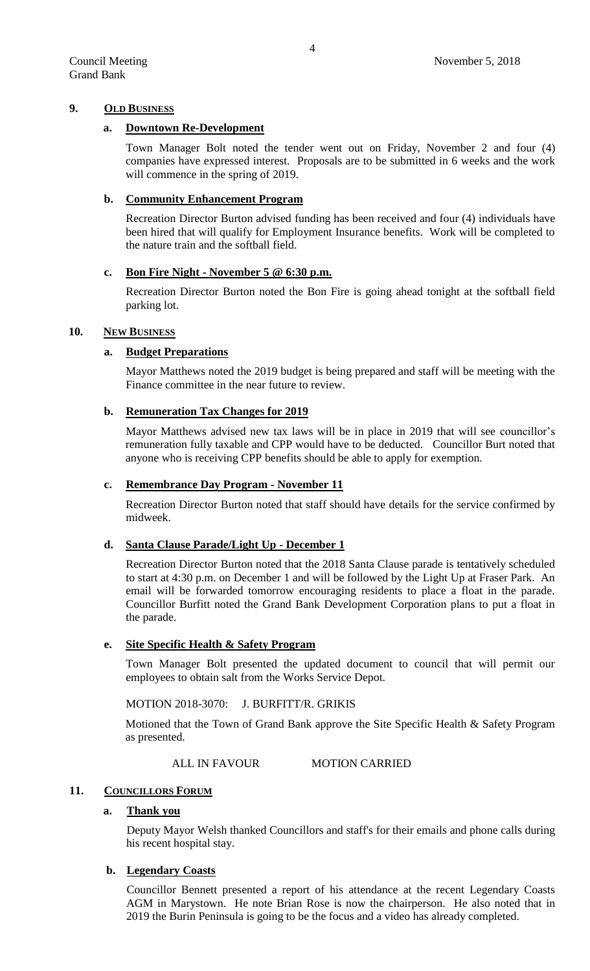## **9. OLD BUSINESS**

## **a. Downtown Re-Development**

Town Manager Bolt noted the tender went out on Friday, November 2 and four (4) companies have expressed interest. Proposals are to be submitted in 6 weeks and the work will commence in the spring of 2019.

## **b. Community Enhancement Program**

Recreation Director Burton advised funding has been received and four (4) individuals have been hired that will qualify for Employment Insurance benefits. Work will be completed to the nature train and the softball field.

## **c. Bon Fire Night - November 5 @ 6:30 p.m.**

Recreation Director Burton noted the Bon Fire is going ahead tonight at the softball field parking lot.

## **10. NEW BUSINESS**

# **a. Budget Preparations**

Mayor Matthews noted the 2019 budget is being prepared and staff will be meeting with the Finance committee in the near future to review.

# **b. Remuneration Tax Changes for 2019**

Mayor Matthews advised new tax laws will be in place in 2019 that will see councillor's remuneration fully taxable and CPP would have to be deducted. Councillor Burt noted that anyone who is receiving CPP benefits should be able to apply for exemption.

## **c. Remembrance Day Program - November 11**

Recreation Director Burton noted that staff should have details for the service confirmed by midweek.

# **d. Santa Clause Parade/Light Up - December 1**

Recreation Director Burton noted that the 2018 Santa Clause parade is tentatively scheduled to start at 4:30 p.m. on December 1 and will be followed by the Light Up at Fraser Park. An email will be forwarded tomorrow encouraging residents to place a float in the parade. Councillor Burfitt noted the Grand Bank Development Corporation plans to put a float in the parade.

## **e. Site Specific Health & Safety Program**

Town Manager Bolt presented the updated document to council that will permit our employees to obtain salt from the Works Service Depot.

# MOTION 2018-3070: J. BURFITT/R. GRIKIS

Motioned that the Town of Grand Bank approve the Site Specific Health & Safety Program as presented.

### ALL IN FAVOUR MOTION CARRIED

# 11. **COUNCILLORS FORUM**

# **a. Thank you**

Deputy Mayor Welsh thanked Councillors and staff's for their emails and phone calls during his recent hospital stay.

# **b. Legendary Coasts**

Councillor Bennett presented a report of his attendance at the recent Legendary Coasts AGM in Marystown. He note Brian Rose is now the chairperson. He also noted that in 2019 the Burin Peninsula is going to be the focus and a video has already completed.